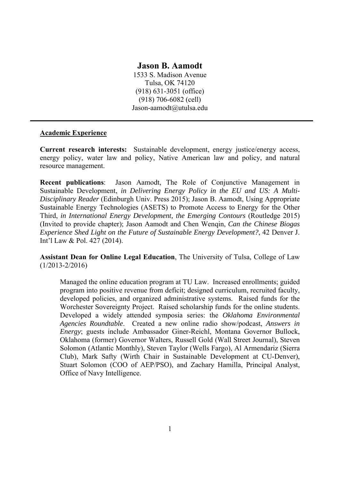# **Jason B. Aamodt**

1533 S. Madison Avenue Tulsa, OK 74120 (918) 631-3051 (office) (918) 706-6082 (cell) Jason-aamodt@utulsa.edu

### **Academic Experience**

**Current research interests:** Sustainable development, energy justice/energy access, energy policy, water law and policy, Native American law and policy, and natural resource management.

**Recent publications**: Jason Aamodt, The Role of Conjunctive Management in Sustainable Development, *in Delivering Energy Policy in the EU and US: A Multi-Disciplinary Reader* (Edinburgh Univ. Press 2015); Jason B. Aamodt, Using Appropriate Sustainable Energy Technologies (ASETS) to Promote Access to Energy for the Other Third, *in International Energy Development, the Emerging Contours* (Routledge 2015) (Invited to provide chapter); Jason Aamodt and Chen Wenqin, *Can the Chinese Biogas Experience Shed Light on the Future of Sustainable Energy Development?*, 42 Denver J. Int'l Law & Pol. 427 (2014).

**Assistant Dean for Online Legal Education**, The University of Tulsa, College of Law (1/2013-2/2016)

Managed the online education program at TU Law. Increased enrollments; guided program into positive revenue from deficit; designed curriculum, recruited faculty, developed policies, and organized administrative systems. Raised funds for the Worchester Sovereignty Project. Raised scholarship funds for the online students. Developed a widely attended symposia series: the *Oklahoma Environmental Agencies Roundtable*. Created a new online radio show/podcast, *Answers in Energy*; guests include Ambassador Giner-Reichl, Montana Governor Bullock, Oklahoma (former) Governor Walters, Russell Gold (Wall Street Journal), Steven Solomon (Atlantic Monthly), Steven Taylor (Wells Fargo), Al Armendariz (Sierra Club), Mark Safty (Wirth Chair in Sustainable Development at CU-Denver), Stuart Solomon (COO of AEP/PSO), and Zachary Hamilla, Principal Analyst, Office of Navy Intelligence.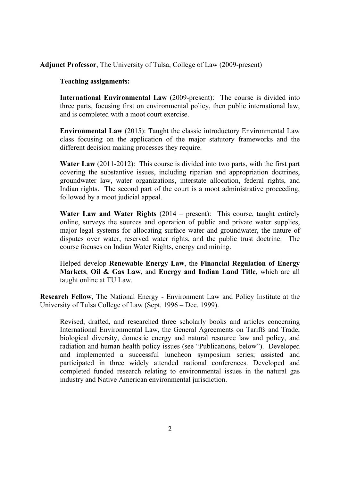### **Adjunct Professor**, The University of Tulsa, College of Law (2009-present)

#### **Teaching assignments:**

**International Environmental Law** (2009-present): The course is divided into three parts, focusing first on environmental policy, then public international law, and is completed with a moot court exercise.

**Environmental Law** (2015): Taught the classic introductory Environmental Law class focusing on the application of the major statutory frameworks and the different decision making processes they require.

**Water Law** (2011-2012): This course is divided into two parts, with the first part covering the substantive issues, including riparian and appropriation doctrines, groundwater law, water organizations, interstate allocation, federal rights, and Indian rights. The second part of the court is a moot administrative proceeding, followed by a moot judicial appeal.

**Water Law and Water Rights** (2014 – present): This course, taught entirely online, surveys the sources and operation of public and private water supplies, major legal systems for allocating surface water and groundwater, the nature of disputes over water, reserved water rights, and the public trust doctrine. The course focuses on Indian Water Rights, energy and mining.

Helped develop **Renewable Energy Law**, the **Financial Regulation of Energy Markets**, **Oil & Gas Law**, and **Energy and Indian Land Title,** which are all taught online at TU Law.

**Research Fellow**, The National Energy - Environment Law and Policy Institute at the University of Tulsa College of Law (Sept. 1996 – Dec. 1999).

Revised, drafted, and researched three scholarly books and articles concerning International Environmental Law, the General Agreements on Tariffs and Trade, biological diversity, domestic energy and natural resource law and policy, and radiation and human health policy issues (see "Publications, below"). Developed and implemented a successful luncheon symposium series; assisted and participated in three widely attended national conferences. Developed and completed funded research relating to environmental issues in the natural gas industry and Native American environmental jurisdiction.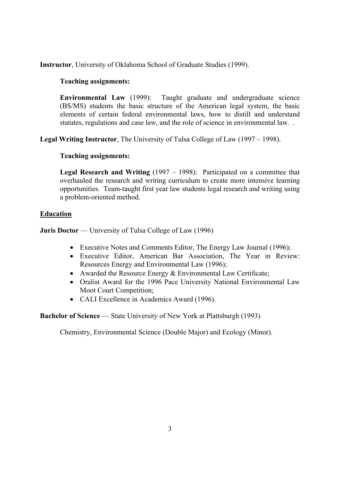**Instructor**, University of Oklahoma School of Graduate Studies (1999).

### **Teaching assignments:**

**Environmental Law** (1999): Taught graduate and undergraduate science (BS/MS) students the basic structure of the American legal system, the basic elements of certain federal environmental laws, how to distill and understand statutes, regulations and case law, and the role of science in environmental law. .

**Legal Writing Instructor**, The University of Tulsa College of Law (1997 – 1998).

## **Teaching assignments:**

**Legal Research and Writing** (1997 – 1998): Participated on a committee that overhauled the research and writing curriculum to create more intensive learning opportunities. Team-taught first year law students legal research and writing using a problem-oriented method.

## **Education**

**Juris Doctor** — University of Tulsa College of Law (1996)

- Executive Notes and Comments Editor, The Energy Law Journal (1996);
- Executive Editor, American Bar Association, The Year in Review: Resources Energy and Environmental Law (1996);
- Awarded the Resource Energy & Environmental Law Certificate;
- Oralist Award for the 1996 Pace University National Environmental Law Moot Court Competition;
- CALI Excellence in Academics Award (1996).

**Bachelor of Science** — State University of New York at Plattsburgh (1993)

Chemistry, Environmental Science (Double Major) and Ecology (Minor).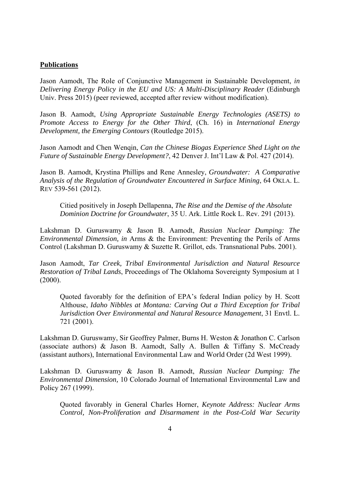#### **Publications**

Jason Aamodt, The Role of Conjunctive Management in Sustainable Development, *in Delivering Energy Policy in the EU and US: A Multi-Disciplinary Reader* (Edinburgh Univ. Press 2015) (peer reviewed, accepted after review without modification).

Jason B. Aamodt, *Using Appropriate Sustainable Energy Technologies (ASETS) to Promote Access to Energy for the Other Third*, (Ch. 16) in *International Energy Development, the Emerging Contours* (Routledge 2015).

Jason Aamodt and Chen Wenqin, *Can the Chinese Biogas Experience Shed Light on the Future of Sustainable Energy Development?*, 42 Denver J. Int'l Law & Pol. 427 (2014).

Jason B. Aamodt, Krystina Phillips and Rene Annesley, *Groundwater: A Comparative Analysis of the Regulation of Groundwater Encountered in Surface Mining*, 64 OKLA. L. REV 539-561 (2012).

 Citied positively in Joseph Dellapenna, *The Rise and the Demise of the Absolute Dominion Doctrine for Groundwater*, 35 U. Ark. Little Rock L. Rev. 291 (2013).

Lakshman D. Guruswamy & Jason B. Aamodt, *Russian Nuclear Dumping: The Environmental Dimension, in* Arms & the Environment: Preventing the Perils of Arms Control (Lakshman D. Guruswamy & Suzette R. Grillot, eds. Transnational Pubs. 2001).

Jason Aamodt, *Tar Creek, Tribal Environmental Jurisdiction and Natural Resource Restoration of Tribal Lands*, Proceedings of The Oklahoma Sovereignty Symposium at 1 (2000).

Quoted favorably for the definition of EPA's federal Indian policy by H. Scott Althouse, *Idaho Nibbles at Montana: Carving Out a Third Exception for Tribal Jurisdiction Over Environmental and Natural Resource Management*, 31 Envtl. L. 721 (2001).

Lakshman D. Guruswamy, Sir Geoffrey Palmer, Burns H. Weston & Jonathon C. Carlson (associate authors) & Jason B. Aamodt, Sally A. Bullen & Tiffany S. McCready (assistant authors), International Environmental Law and World Order (2d West 1999).

Lakshman D. Guruswamy & Jason B. Aamodt, *Russian Nuclear Dumping: The Environmental Dimension,* 10 Colorado Journal of International Environmental Law and Policy 267 (1999).

Quoted favorably in General Charles Horner, *Keynote Address: Nuclear Arms Control, Non-Proliferation and Disarmament in the Post-Cold War Security*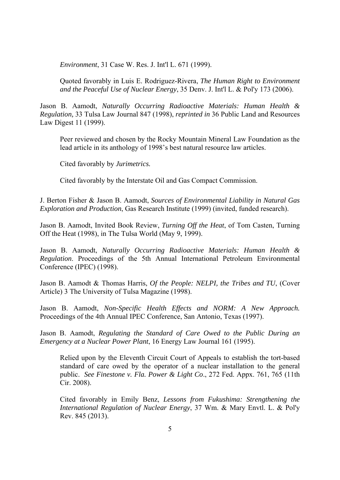*Environment*, 31 Case W. Res. J. Int'l L. 671 (1999).

Quoted favorably in Luis E. Rodriguez-Rivera, *The Human Right to Environment and the Peaceful Use of Nuclear Energy*, 35 Denv. J. Int'l L. & Pol'y 173 (2006).

Jason B. Aamodt, *Naturally Occurring Radioactive Materials: Human Health & Regulation,* 33 Tulsa Law Journal 847 (1998), *reprinted in* 36 Public Land and Resources Law Digest 11 (1999).

Peer reviewed and chosen by the Rocky Mountain Mineral Law Foundation as the lead article in its anthology of 1998's best natural resource law articles.

Cited favorably by *Jurimetrics.*

Cited favorably by the Interstate Oil and Gas Compact Commission.

J. Berton Fisher & Jason B. Aamodt, *Sources of Environmental Liability in Natural Gas Exploration and Production*, Gas Research Institute (1999) (invited, funded research).

Jason B. Aamodt, Invited Book Review, *Turning Off the Heat*, of Tom Casten, Turning Off the Heat (1998), in The Tulsa World (May 9, 1999).

Jason B. Aamodt, *Naturally Occurring Radioactive Materials: Human Health & Regulation*. Proceedings of the 5th Annual International Petroleum Environmental Conference (IPEC) (1998).

Jason B. Aamodt & Thomas Harris, *Of the People: NELPI, the Tribes and TU*, (Cover Article) 3 The University of Tulsa Magazine (1998).

Jason B. Aamodt, *Non-Specific Health Effects and NORM: A New Approach.*  Proceedings of the 4th Annual IPEC Conference, San Antonio, Texas (1997).

Jason B. Aamodt, *Regulating the Standard of Care Owed to the Public During an Emergency at a Nuclear Power Plant*, 16 Energy Law Journal 161 (1995).

Relied upon by the Eleventh Circuit Court of Appeals to establish the tort-based standard of care owed by the operator of a nuclear installation to the general public. *See Finestone v. Fla. Power & Light Co*., 272 Fed. Appx. 761, 765 (11th Cir. 2008).

Cited favorably in Emily Benz, *Lessons from Fukushima: Strengthening the International Regulation of Nuclear Energy*, 37 Wm. & Mary Envtl. L. & Pol'y Rev. 845 (2013).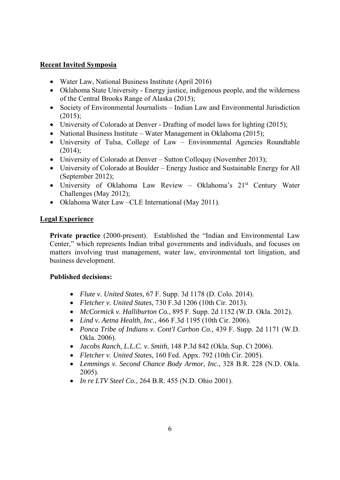## **Recent Invited Symposia**

- Water Law, National Business Institute (April 2016)
- Oklahoma State University Energy justice, indigenous people, and the wilderness of the Central Brooks Range of Alaska (2015);
- Society of Environmental Journalists Indian Law and Environmental Jurisdiction  $(2015);$
- University of Colorado at Denver Drafting of model laws for lighting (2015);
- National Business Institute Water Management in Oklahoma (2015);
- University of Tulsa, College of Law Environmental Agencies Roundtable  $(2014);$
- University of Colorado at Denver Sutton Colloguy (November 2013);
- University of Colorado at Boulder Energy Justice and Sustainable Energy for All (September 2012);
- University of Oklahoma Law Review Oklahoma's 21<sup>st</sup> Century Water Challenges (May 2012);
- Oklahoma Water Law CLE International (May 2011).

## **Legal Experience**

**Private practice** (2000-present). Established the "Indian and Environmental Law Center," which represents Indian tribal governments and individuals, and focuses on matters involving trust management, water law, environmental tort litigation, and business development.

# **Published decisions:**

- *Flute v. United States*, 67 F. Supp. 3d 1178 (D. Colo. 2014).
- *Fletcher v. United States*, 730 F.3d 1206 (10th Cir. 2013).
- *McCormick v. Halliburton Co.*, 895 F. Supp. 2d 1152 (W.D. Okla. 2012).
- *Lind v. Aetna Health, Inc.*, 466 F.3d 1195 (10th Cir. 2006).
- *Ponca Tribe of Indians v. Cont'l Carbon Co.*, 439 F. Supp. 2d 1171 (W.D. Okla. 2006).
- *Jacobs Ranch, L.L.C. v. Smith*, 148 P.3d 842 (Okla. Sup. Ct 2006).
- *Fletcher v. United States*, 160 Fed. Appx. 792 (10th Cir. 2005).
- *Lemmings v. Second Chance Body Armor, Inc.*, 328 B.R. 228 (N.D. Okla. 2005).
- *In re LTV Steel Co.*, 264 B.R. 455 (N.D. Ohio 2001).